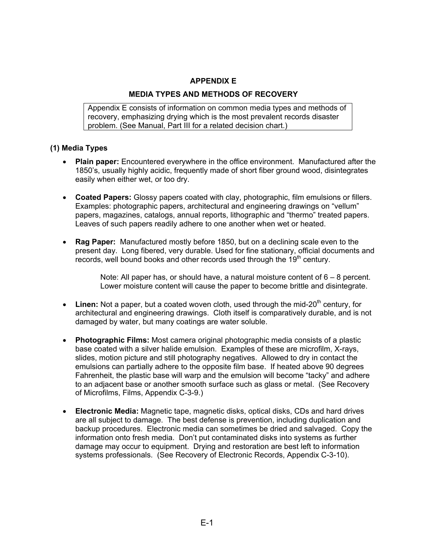## **APPENDIX E**

### **MEDIA TYPES AND METHODS OF RECOVERY**

Appendix E consists of information on common media types and methods of recovery, emphasizing drying which is the most prevalent records disaster problem. (See Manual, Part III for a related decision chart.)

#### **(1) Media Types**

- **Plain paper:** Encountered everywhere in the office environment. Manufactured after the 1850's, usually highly acidic, frequently made of short fiber ground wood, disintegrates easily when either wet, or too dry.
- **Coated Papers:** Glossy papers coated with clay, photographic, film emulsions or fillers. Examples: photographic papers, architectural and engineering drawings on "vellum" papers, magazines, catalogs, annual reports, lithographic and "thermo" treated papers. Leaves of such papers readily adhere to one another when wet or heated.
- **Rag Paper:** Manufactured mostly before 1850, but on a declining scale even to the present day. Long fibered, very durable. Used for fine stationary, official documents and records, well bound books and other records used through the 19<sup>th</sup> century.

Note: All paper has, or should have, a natural moisture content of  $6 - 8$  percent. Lower moisture content will cause the paper to become brittle and disintegrate.

- Linen: Not a paper, but a coated woven cloth, used through the mid-20<sup>th</sup> century, for architectural and engineering drawings. Cloth itself is comparatively durable, and is not damaged by water, but many coatings are water soluble.
- **Photographic Films:** Most camera original photographic media consists of a plastic base coated with a silver halide emulsion. Examples of these are microfilm, X-rays, slides, motion picture and still photography negatives. Allowed to dry in contact the emulsions can partially adhere to the opposite film base. If heated above 90 degrees Fahrenheit, the plastic base will warp and the emulsion will become "tacky" and adhere to an adjacent base or another smooth surface such as glass or metal. (See Recovery of Microfilms, Films, Appendix C-3-9.)
- **Electronic Media:** Magnetic tape, magnetic disks, optical disks, CDs and hard drives are all subject to damage. The best defense is prevention, including duplication and backup procedures. Electronic media can sometimes be dried and salvaged. Copy the information onto fresh media. Don't put contaminated disks into systems as further damage may occur to equipment. Drying and restoration are best left to information systems professionals. (See Recovery of Electronic Records, Appendix C-3-10).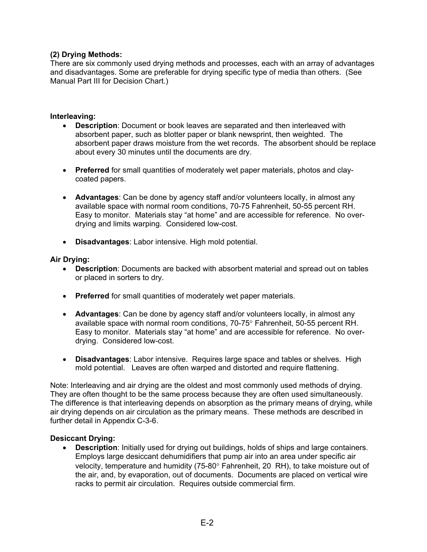# **(2) Drying Methods:**

There are six commonly used drying methods and processes, each with an array of advantages and disadvantages. Some are preferable for drying specific type of media than others. (See Manual Part III for Decision Chart.)

### **Interleaving:**

- **Description**: Document or book leaves are separated and then interleaved with absorbent paper, such as blotter paper or blank newsprint, then weighted. The absorbent paper draws moisture from the wet records. The absorbent should be replace about every 30 minutes until the documents are dry.
- **Preferred** for small quantities of moderately wet paper materials, photos and claycoated papers.
- **Advantages**: Can be done by agency staff and/or volunteers locally, in almost any available space with normal room conditions, 70-75 Fahrenheit, 50-55 percent RH. Easy to monitor. Materials stay "at home" and are accessible for reference. No overdrying and limits warping. Considered low-cost.
- **Disadvantages**: Labor intensive. High mold potential.

#### **Air Drying:**

- **Description**: Documents are backed with absorbent material and spread out on tables or placed in sorters to dry.
- **Preferred** for small quantities of moderately wet paper materials.
- **Advantages**: Can be done by agency staff and/or volunteers locally, in almost any available space with normal room conditions, 70-75° Fahrenheit, 50-55 percent RH. Easy to monitor. Materials stay "at home" and are accessible for reference. No overdrying. Considered low-cost.
- **Disadvantages**: Labor intensive. Requires large space and tables or shelves. High mold potential. Leaves are often warped and distorted and require flattening.

Note: Interleaving and air drying are the oldest and most commonly used methods of drying. They are often thought to be the same process because they are often used simultaneously. The difference is that interleaving depends on absorption as the primary means of drying, while air drying depends on air circulation as the primary means. These methods are described in further detail in Appendix C-3-6.

## **Desiccant Drying:**

• **Description**: Initially used for drying out buildings, holds of ships and large containers. Employs large desiccant dehumidifiers that pump air into an area under specific air velocity, temperature and humidity (75-80° Fahrenheit, 20 RH), to take moisture out of the air, and, by evaporation, out of documents. Documents are placed on vertical wire racks to permit air circulation. Requires outside commercial firm.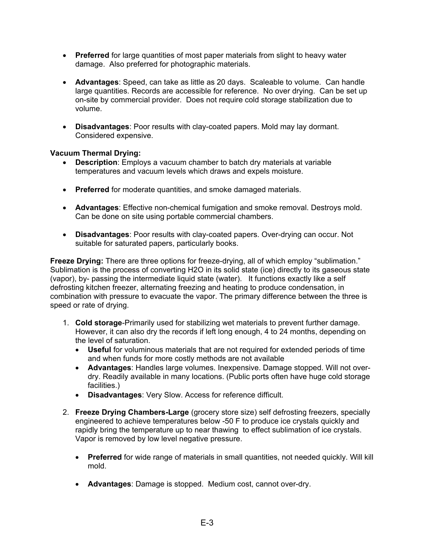- **Preferred** for large quantities of most paper materials from slight to heavy water damage. Also preferred for photographic materials.
- **Advantages**: Speed, can take as little as 20 days. Scaleable to volume. Can handle large quantities. Records are accessible for reference. No over drying. Can be set up on-site by commercial provider. Does not require cold storage stabilization due to volume.
- **Disadvantages**: Poor results with clay-coated papers. Mold may lay dormant. Considered expensive.

## **Vacuum Thermal Drying:**

- **Description**: Employs a vacuum chamber to batch dry materials at variable temperatures and vacuum levels which draws and expels moisture.
- **Preferred** for moderate quantities, and smoke damaged materials.
- **Advantages**: Effective non-chemical fumigation and smoke removal. Destroys mold. Can be done on site using portable commercial chambers.
- **Disadvantages**: Poor results with clay-coated papers. Over-drying can occur. Not suitable for saturated papers, particularly books.

**Freeze Drying:** There are three options for freeze-drying, all of which employ "sublimation." Sublimation is the process of converting H2O in its solid state (ice) directly to its gaseous state (vapor), by- passing the intermediate liquid state (water). It functions exactly like a self defrosting kitchen freezer, alternating freezing and heating to produce condensation, in combination with pressure to evacuate the vapor. The primary difference between the three is speed or rate of drying.

- 1. **Cold storage**-Primarily used for stabilizing wet materials to prevent further damage. However, it can also dry the records if left long enough, 4 to 24 months, depending on the level of saturation.
	- **Useful** for voluminous materials that are not required for extended periods of time and when funds for more costly methods are not available
	- **Advantages**: Handles large volumes. Inexpensive. Damage stopped. Will not overdry. Readily available in many locations. (Public ports often have huge cold storage facilities.)
	- **Disadvantages**: Very Slow. Access for reference difficult.
- 2. **Freeze Drying Chambers-Large** (grocery store size) self defrosting freezers, specially engineered to achieve temperatures below -50 F to produce ice crystals quickly and rapidly bring the temperature up to near thawing to effect sublimation of ice crystals. Vapor is removed by low level negative pressure.
	- **Preferred** for wide range of materials in small quantities, not needed quickly. Will kill mold.
	- **Advantages**: Damage is stopped. Medium cost, cannot over-dry.